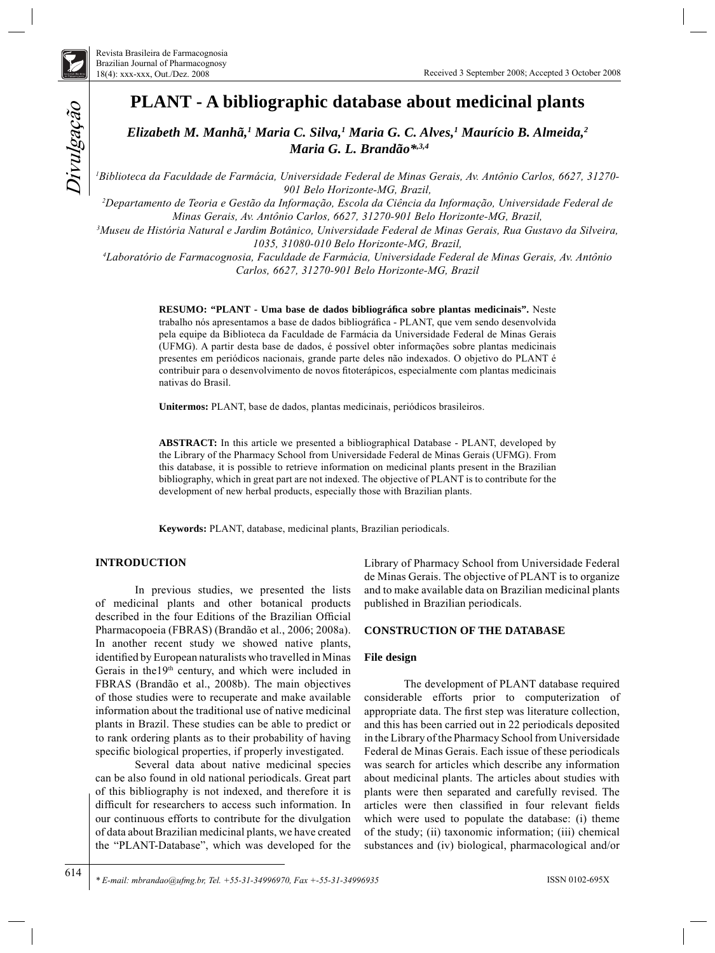

*Divulgação* 

# **PLANT - A bibliographic database about medicinal plants**

*Elizabeth M. Manhã,1 Maria C. Silva,1 Maria G. C. Alves,1 Maurício B. Almeida,2 Maria G. L. Brandão\*,3,4*

*1 Biblioteca da Faculdade de Farmácia, Universidade Federal de Minas Gerais, Av. Antônio Carlos, 6627, 31270- 901 Belo Horizonte-MG, Brazil,*

*2 Departamento de Teoria e Gestão da Informação, Escola da Ciência da Informação, Universidade Federal de Minas Gerais, Av. Antônio Carlos, 6627, 31270-901 Belo Horizonte-MG, Brazil,*

*3 Museu de História Natural e Jardim Botânico, Universidade Federal de Minas Gerais, Rua Gustavo da Silveira, 1035, 31080-010 Belo Horizonte-MG, Brazil,*

*4 Laboratório de Farmacognosia, Faculdade de Farmácia, Universidade Federal de Minas Gerais, Av. Antônio Carlos, 6627, 31270-901 Belo Horizonte-MG, Brazil*

> **RESUMO: "PLANT - Uma base de dados bibliográfi ca sobre plantas medicinais".** Neste trabalho nós apresentamos a base de dados bibliográfica - PLANT, que vem sendo desenvolvida pela equipe da Biblioteca da Faculdade de Farmácia da Universidade Federal de Minas Gerais (UFMG). A partir desta base de dados, é possível obter informações sobre plantas medicinais presentes em periódicos nacionais, grande parte deles não indexados. O objetivo do PLANT é contribuir para o desenvolvimento de novos fitoterápicos, especialmente com plantas medicinais nativas do Brasil.

**Unitermos:** PLANT, base de dados, plantas medicinais, periódicos brasileiros.

**ABSTRACT:** In this article we presented a bibliographical Database - PLANT, developed by the Library of the Pharmacy School from Universidade Federal de Minas Gerais (UFMG). From this database, it is possible to retrieve information on medicinal plants present in the Brazilian bibliography, which in great part are not indexed. The objective of PLANT is to contribute for the development of new herbal products, especially those with Brazilian plants.

**Keywords:** PLANT, database, medicinal plants, Brazilian periodicals.

## **INTRODUCTION**

 $Diral$ gaçã $o$ 

614

In previous studies, we presented the lists of medicinal plants and other botanical products described in the four Editions of the Brazilian Official Pharmacopoeia (FBRAS) (Brandão et al., 2006; 2008a). In another recent study we showed native plants, identified by European naturalists who travelled in Minas Gerais in the19th century, and which were included in FBRAS (Brandão et al., 2008b). The main objectives of those studies were to recuperate and make available information about the traditional use of native medicinal plants in Brazil. These studies can be able to predict or to rank ordering plants as to their probability of having specific biological properties, if properly investigated.

Several data about native medicinal species can be also found in old national periodicals. Great part of this bibliography is not indexed, and therefore it is difficult for researchers to access such information. In our continuous efforts to contribute for the divulgation of data about Brazilian medicinal plants, we have created the "PLANT-Database", which was developed for the Library of Pharmacy School from Universidade Federal de Minas Gerais. The objective of PLANT is to organize and to make available data on Brazilian medicinal plants published in Brazilian periodicals.

#### **CONSTRUCTION OF THE DATABASE**

## **File design**

The development of PLANT database required considerable efforts prior to computerization of appropriate data. The first step was literature collection, and this has been carried out in 22 periodicals deposited in the Library of the Pharmacy School from Universidade Federal de Minas Gerais. Each issue of these periodicals was search for articles which describe any information about medicinal plants. The articles about studies with plants were then separated and carefully revised. The articles were then classified in four relevant fields which were used to populate the database: (i) theme of the study; (ii) taxonomic information; (iii) chemical substances and (iv) biological, pharmacological and/or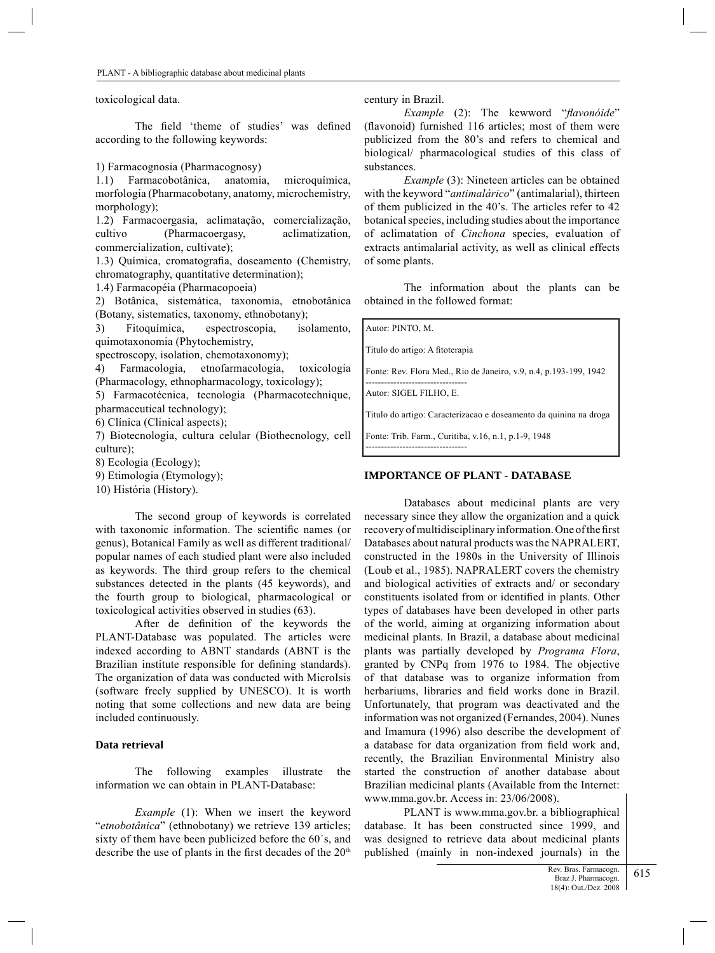toxicological data.

The field 'theme of studies' was defined according to the following keywords:

1) Farmacognosia (Pharmacognosy)

1.1) Farmacobotânica, anatomia, microquímica, morfologia (Pharmacobotany, anatomy, microchemistry, morphology);

1.2) Farmacoergasia, aclimatação, comercialização, cultivo (Pharmacoergasy, aclimatization, commercialization, cultivate);

1.3) Química, cromatografia, doseamento (Chemistry, chromatography, quantitative determination);

1.4) Farmacopéia (Pharmacopoeia)

2) Botânica, sistemática, taxonomia, etnobotânica (Botany, sistematics, taxonomy, ethnobotany);

3) Fitoquímica, espectroscopia, isolamento, quimotaxonomia (Phytochemistry,

spectroscopy, isolation, chemotaxonomy);

4) Farmacologia, etnofarmacologia, toxicologia (Pharmacology, ethnopharmacology, toxicology);

5) Farmacotécnica, tecnologia (Pharmacotechnique, pharmaceutical technology);

6) Clínica (Clinical aspects);

7) Biotecnologia, cultura celular (Biothecnology, cell culture);

8) Ecologia (Ecology);

9) Etimologia (Etymology);

10) História (History).

The second group of keywords is correlated with taxonomic information. The scientific names (or genus), Botanical Family as well as different traditional/ popular names of each studied plant were also included as keywords. The third group refers to the chemical substances detected in the plants (45 keywords), and the fourth group to biological, pharmacological or toxicological activities observed in studies (63).

After de definition of the keywords the PLANT-Database was populated. The articles were indexed according to ABNT standards (ABNT is the Brazilian institute responsible for defining standards). The organization of data was conducted with MicroIsis (software freely supplied by UNESCO). It is worth noting that some collections and new data are being included continuously.

### **Data retrieval**

The following examples illustrate the information we can obtain in PLANT-Database:

*Example* (1): When we insert the keyword "*etnobotânica*" (ethnobotany) we retrieve 139 articles; sixty of them have been publicized before the 60´s, and describe the use of plants in the first decades of the  $20<sup>th</sup>$ 

century in Brazil.

*Example* (2): The kewword "*flavonóide*" (flavonoid) furnished 116 articles; most of them were publicized from the 80's and refers to chemical and biological/ pharmacological studies of this class of substances.

*Example* (3): Nineteen articles can be obtained with the keyword "*antimalárico*" (antimalarial), thirteen of them publicized in the 40's. The articles refer to 42 botanical species, including studies about the importance of aclimatation of *Cinchona* species, evaluation of extracts antimalarial activity, as well as clinical effects of some plants.

The information about the plants can be obtained in the followed format:

Autor: PINTO, M.

Titulo do artigo: A fitoterapia

Fonte: Rev. Flora Med., Rio de Janeiro, v.9, n.4, p.193-199, 1942 ---------------------------------

Autor: SIGEL FILHO, E.

---------------------------------

Titulo do artigo: Caracterizacao e doseamento da quinina na droga

Fonte: Trib. Farm., Curitiba, v.16, n.1, p.1-9, 1948

#### **IMPORTANCE OF PLANT - DATABASE**

Databases about medicinal plants are very necessary since they allow the organization and a quick recovery of multidisciplinary information. One of the first Databases about natural products was the NAPRALERT, constructed in the 1980s in the University of Illinois (Loub et al., 1985). NAPRALERT covers the chemistry and biological activities of extracts and/ or secondary constituents isolated from or identified in plants. Other types of databases have been developed in other parts of the world, aiming at organizing information about medicinal plants. In Brazil, a database about medicinal plants was partially developed by *Programa Flora*, granted by CNPq from 1976 to 1984. The objective of that database was to organize information from herbariums, libraries and field works done in Brazil. Unfortunately, that program was deactivated and the information was not organized (Fernandes, 2004). Nunes and Imamura (1996) also describe the development of a database for data organization from field work and, recently, the Brazilian Environmental Ministry also started the construction of another database about Brazilian medicinal plants (Available from the Internet: www.mma.gov.br. Access in: 23/06/2008).

PLANT is www.mma.gov.br. a bibliographical database. It has been constructed since 1999, and was designed to retrieve data about medicinal plants published (mainly in non-indexed journals) in the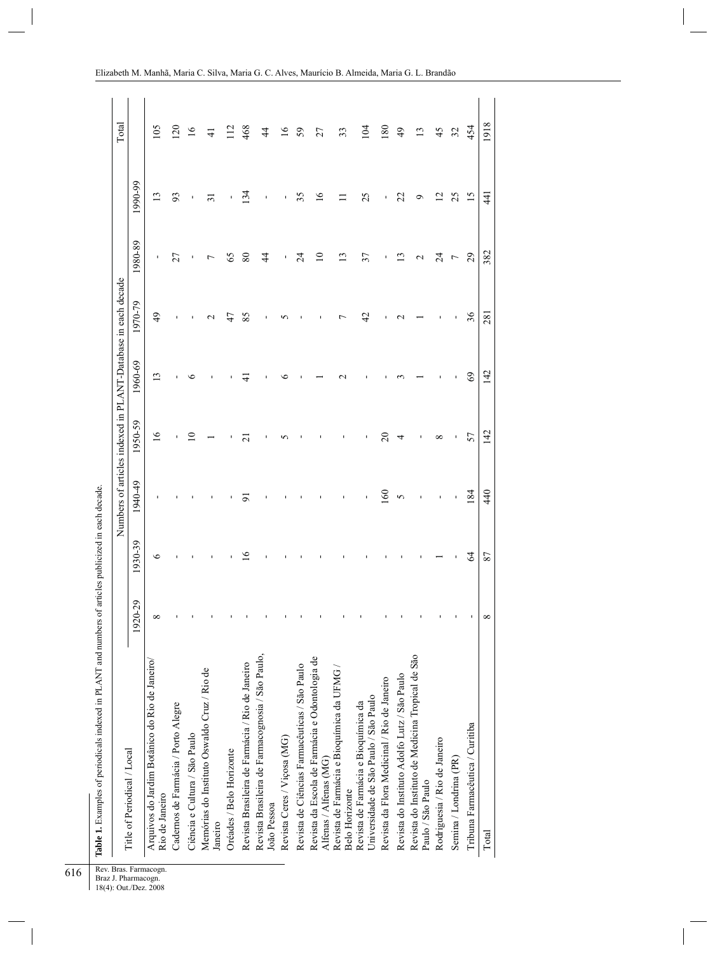| i      |
|--------|
| ;<br>; |
|        |
|        |
|        |
|        |
|        |
|        |
|        |
| ļ      |
|        |
| í      |

|                                                                              |              |        |         | Numbers of articles indexed in PLANT-Database in each decade |         |                |                 |                     | Total           |
|------------------------------------------------------------------------------|--------------|--------|---------|--------------------------------------------------------------|---------|----------------|-----------------|---------------------|-----------------|
| Title of Periodical / Local                                                  | 1920-29      | 930-39 | 1940-49 | 1950-59                                                      | 1960-69 | 1970-79        | 1980-89         | $(990-99)$          |                 |
| Arquivos do Jardim Botânico do Rio de Janeiro/<br>Rio de Janeiro             | ${}^{\circ}$ | 6      |         | $\overline{6}$                                               | ن       | $\overline{6}$ | $\blacksquare$  | ≌                   | $\mathcal{S}$   |
| Cadernos de Farmácia / Porto Alegre                                          |              |        |         |                                                              |         |                | 27              | 93                  | $\overline{20}$ |
| Ciência e Cultura / São Paulo                                                |              |        |         | 0                                                            |         |                |                 |                     | $\frac{6}{1}$   |
| Memórias do Instituto Oswaldo Cruz / Rio de<br>Janeiro                       |              |        |         |                                                              |         |                |                 | $\overline{\Omega}$ | 근               |
| Oréades / Belo Horizonte                                                     |              |        |         |                                                              |         | 47             | 65              |                     | $\frac{2}{3}$   |
| Revista Brasileira de Farmácia / Rio de Janeiro                              |              | ٩      | ä       | ä                                                            | 4       | 85             | 80              | $\frac{34}{3}$      | 468             |
| Revista Brasileira de Farmacognosia / São Paulo,<br>João Pessoa              |              |        |         |                                                              |         |                | $\overline{4}$  |                     | 4               |
| Revista Ceres / Viçosa (MG)                                                  |              |        |         | n                                                            |         | ທ              |                 |                     | $\tilde{9}$     |
| Revista de Ciências Farmacêuticas / São Paulo                                |              |        |         |                                                              |         |                | $\overline{24}$ | 35                  | 59              |
| Revista da Escola de Farmácia e Odontologia de<br>Alfenas / Alfenas (MG)     |              |        |         |                                                              |         |                | $\supseteq$     | $\frac{6}{1}$       | 27              |
| Revista de Farmácia e Bioquímica da UFMG<br><b>Belo Horizonte</b>            |              |        |         |                                                              |         |                | $\frac{3}{2}$   |                     | 33              |
| Universidade de São Paulo / São Paulo<br>Revista de Farmácia e Bioquímica da |              |        |         |                                                              |         | 42             | 37              | 25                  | $\overline{5}$  |
| Revista da Flora Medicinal / Rio de Janeiro                                  |              |        | 160     | $\overline{c}$                                               |         |                |                 |                     | $\overline{80}$ |
| Revista do Instituto Adolfo Lutz / São Paulo                                 |              |        | 5       | 4                                                            |         |                | ن               | 22                  | 49              |
| Revista do Instituto de Medicina Tropical de São<br>Paulo / São Paulo        |              |        |         | ī                                                            |         |                | $\mathbf 2$     | o                   | $\mathbf{C}$    |
| Rodriguesia / Rio de Janeiro                                                 |              |        |         | ∞                                                            |         |                | $\overline{24}$ | Ń                   | 45              |
| Semina / Londrina (PR)                                                       |              |        |         | f,                                                           |         |                | 7               | 25                  | 32              |
| Tribuna Farmacêutica / Curitiba                                              |              | $\Im$  | 184     | 57                                                           | $\Im$   | 36             | 29              | $\overline{15}$     | 454             |
| Total                                                                        | ${}^{\circ}$ | 87     | 440     | 142                                                          | 142     | 281            | 382             | $\frac{4}{4}$       | 1918            |

Elizabeth M. Manhã, Maria C. Silva, Maria G. C. Alves, Maurício B. Almeida, Maria G. L. Brandão

616

Braz J. Pharmacogn.  $\mathsf{l}$